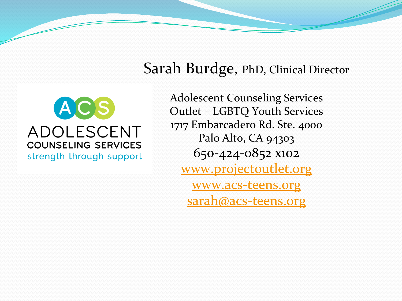#### $A[C]S$ ADOLESCENT **COUNSELING SERVICES** strength through support

Sarah Burdge, PhD, Clinical Director Adolescent Counseling Services Outlet – LGBTQ Youth Services 1717 Embarcadero Rd. Ste. 4000 Palo Alto, CA 94303

650-424-0852 x102

[www.projectoutlet.org](http://www.projectoutlet.org/)

[www.acs-teens.org](http://www.acs-teens.org/) [sarah@acs-teens.org](mailto:anthony@acs-teens.org)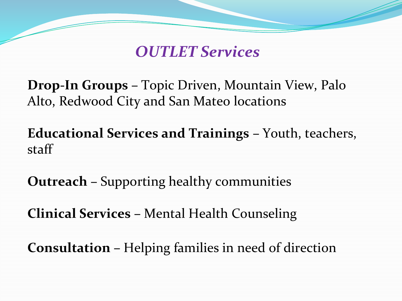*OUTLET Services*

**Drop-In Groups –** Topic Driven, Mountain View, Palo Alto, Redwood City and San Mateo locations

**Educational Services and Trainings –** Youth, teachers, staff

**Outreach –** Supporting healthy communities

**Clinical Services –** Mental Health Counseling

**Consultation –** Helping families in need of direction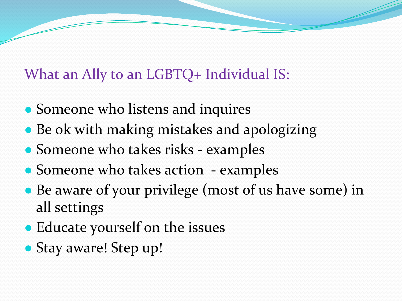What an Ally to an LGBTQ+ Individual IS:

- Someone who listens and inquires
- Be ok with making mistakes and apologizing
- Someone who takes risks examples
- Someone who takes action examples
- Be aware of your privilege (most of us have some) in all settings
- Educate yourself on the issues
- Stay aware! Step up!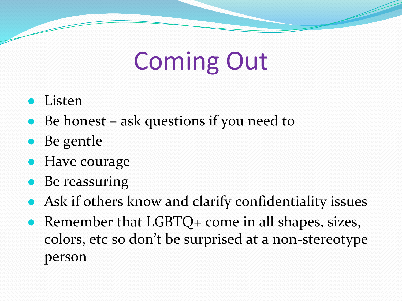# Coming Out

- Listen
- $\bullet$  Be honest ask questions if you need to
- Be gentle
- Have courage
- Be reassuring
- Ask if others know and clarify confidentiality issues
- Remember that LGBTQ+ come in all shapes, sizes, colors, etc so don't be surprised at a non-stereotype person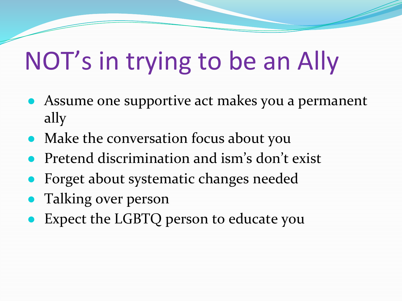# NOT's in trying to be an Ally

- Assume one supportive act makes you a permanent ally
- Make the conversation focus about you
- Pretend discrimination and ism's don't exist
- Forget about systematic changes needed
- Talking over person
- Expect the LGBTQ person to educate you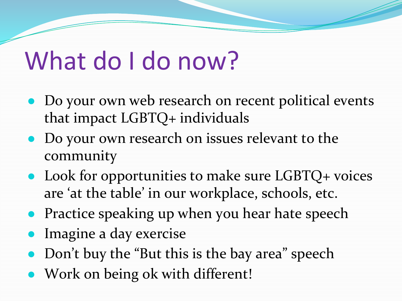## What do I do now?

- Do your own web research on recent political events that impact LGBTQ+ individuals
- Do your own research on issues relevant to the community
- $\bullet$  Look for opportunities to make sure LGBTQ+ voices are 'at the table' in our workplace, schools, etc.
- Practice speaking up when you hear hate speech
- Imagine a day exercise
- Don't buy the "But this is the bay area" speech
- Work on being ok with different!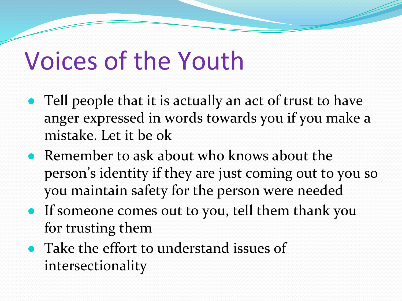## Voices of the Youth

- Tell people that it is actually an act of trust to have anger expressed in words towards you if you make a mistake. Let it be ok
- Remember to ask about who knows about the person's identity if they are just coming out to you so you maintain safety for the person were needed
- If someone comes out to you, tell them thank you for trusting them
- Take the effort to understand issues of intersectionality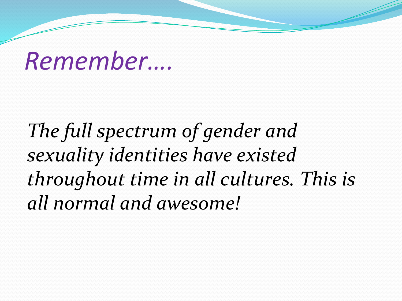## *Remember….*

*The full spectrum of gender and sexuality identities have existed throughout time in all cultures. This is all normal and awesome!*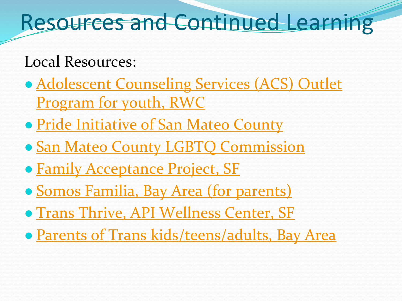## Resources and Continued Learning

#### Local Resources:

- [Adolescent Counseling Services \(ACS\) Outlet](http://projectoutlet.org) Program for youth, RWC
- Pride Initiative of San Mateo County
- [San Mateo County LGBTQ Commission](http://lgbtq.smcgov.org/)
- [Family Acceptance Project, SF](http://familyproject.sfsu.edu/)
- [Somos Familia, Bay Area \(for parents\)](http://www.somosfamiliabay.org/)
- [Trans Thrive, API Wellness Center, SF](http://apiwellness.org/site/transthrive/)
- [Parents of Trans kids/teens/adults, Bay Area](http://santaclaratransfamilysupport.net/local-support-groups/)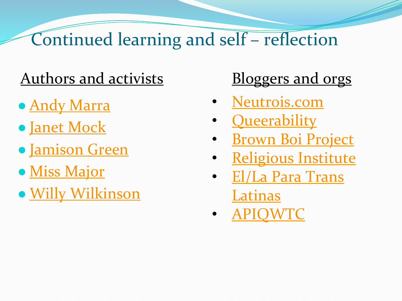### Continued learning and self – reflection

#### Authors and activists Bloggers and orgs

- Andy Marra
- [Janet Mock](http://janetmock.com/)
- [Jamison Green](http://www.jamisongreen.com/)
- [Miss Major](http://www.missmajorfilm.com/)
- [Willy Wilkinson](http://www.willywilkinson.com/)

- [Neutrois.com](http://neutrois.com/)
- **[Queerability](http://queerability.tumblr.com/)**
- **[Brown Boi Project](http://www.brownboiproject.org/)**
- **Religious Institute**
- [El/La Para Trans](http://ellaparatranslatinas.yolasite.com/)  Latinas
- [APIQWTC](http://www.apiqwtc.org/)